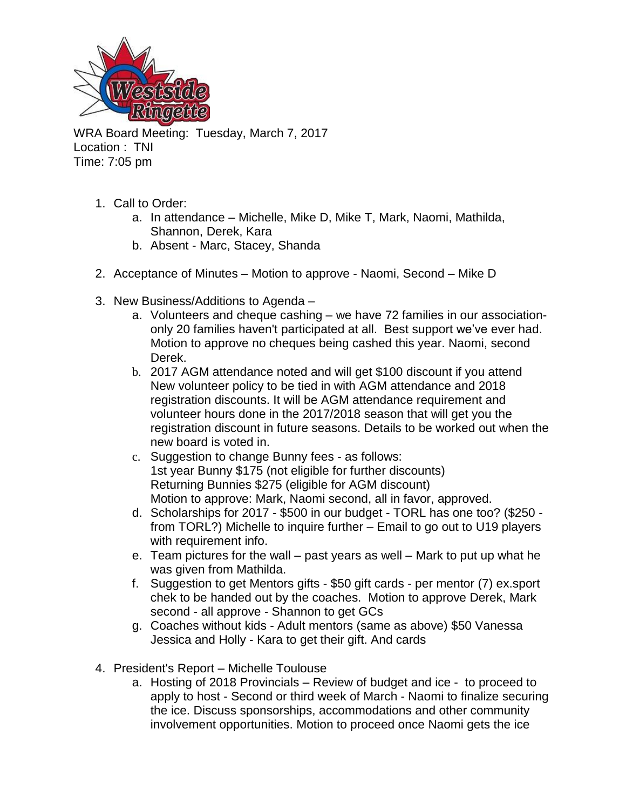

WRA Board Meeting: Tuesday, March 7, 2017 Location : TNI Time: 7:05 pm

- 1. Call to Order:
	- a. In attendance Michelle, Mike D, Mike T, Mark, Naomi, Mathilda, Shannon, Derek, Kara
	- b. Absent Marc, Stacey, Shanda
- 2. Acceptance of Minutes Motion to approve Naomi, Second Mike D
- 3. New Business/Additions to Agenda
	- a. Volunteers and cheque cashing we have 72 families in our associationonly 20 families haven't participated at all. Best support we've ever had. Motion to approve no cheques being cashed this year. Naomi, second Derek.
	- b. 2017 AGM attendance noted and will get \$100 discount if you attend New volunteer policy to be tied in with AGM attendance and 2018 registration discounts. It will be AGM attendance requirement and volunteer hours done in the 2017/2018 season that will get you the registration discount in future seasons. Details to be worked out when the new board is voted in.
	- c. Suggestion to change Bunny fees as follows: 1st year Bunny \$175 (not eligible for further discounts) Returning Bunnies \$275 (eligible for AGM discount) Motion to approve: Mark, Naomi second, all in favor, approved.
	- d. Scholarships for 2017 \$500 in our budget TORL has one too? (\$250 from TORL?) Michelle to inquire further – Email to go out to U19 players with requirement info.
	- e. Team pictures for the wall past years as well Mark to put up what he was given from Mathilda.
	- f. Suggestion to get Mentors gifts \$50 gift cards per mentor (7) ex.sport chek to be handed out by the coaches. Motion to approve Derek, Mark second - all approve - Shannon to get GCs
	- g. Coaches without kids Adult mentors (same as above) \$50 Vanessa Jessica and Holly - Kara to get their gift. And cards
- 4. President's Report Michelle Toulouse
	- a. Hosting of 2018 Provincials Review of budget and ice to proceed to apply to host - Second or third week of March - Naomi to finalize securing the ice. Discuss sponsorships, accommodations and other community involvement opportunities. Motion to proceed once Naomi gets the ice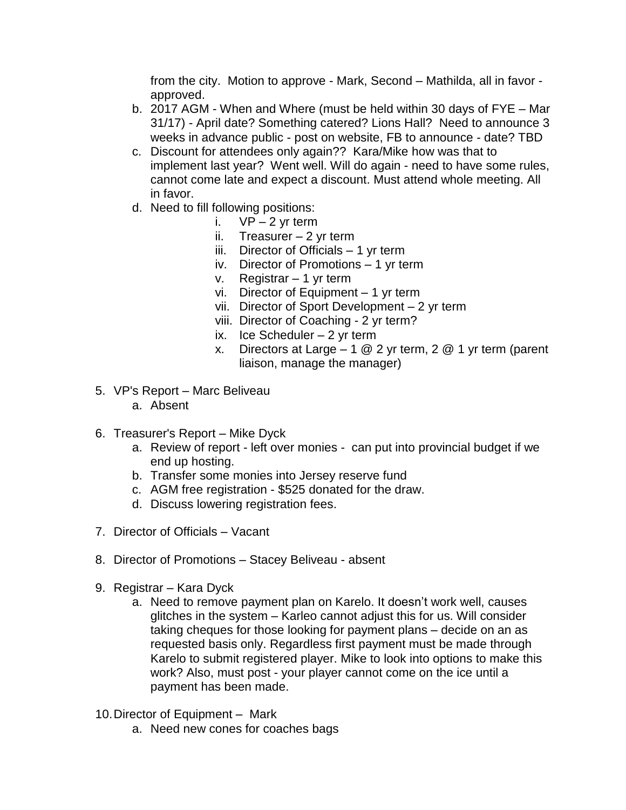from the city. Motion to approve - Mark, Second – Mathilda, all in favor approved.

- b. 2017 AGM When and Where (must be held within 30 days of FYE Mar 31/17) - April date? Something catered? Lions Hall? Need to announce 3 weeks in advance public - post on website, FB to announce - date? TBD
- c. Discount for attendees only again?? Kara/Mike how was that to implement last year? Went well. Will do again - need to have some rules, cannot come late and expect a discount. Must attend whole meeting. All in favor.
- d. Need to fill following positions:
	- i.  $VP-2$  yr term
		- ii. Treasurer  $-2$  yr term
	- iii. Director of Officials 1 yr term
	- iv. Director of Promotions 1 yr term
	- v. Registrar 1 yr term
	- vi. Director of Equipment 1 yr term
	- vii. Director of Sport Development 2 yr term
	- viii. Director of Coaching 2 yr term?
	- ix. Ice Scheduler  $-2$  yr term
	- x. Directors at Large  $-1$  @ 2 yr term, 2 @ 1 yr term (parent liaison, manage the manager)
- 5. VP's Report Marc Beliveau
	- a. Absent
- 6. Treasurer's Report Mike Dyck
	- a. Review of report left over monies can put into provincial budget if we end up hosting.
	- b. Transfer some monies into Jersey reserve fund
	- c. AGM free registration \$525 donated for the draw.
	- d. Discuss lowering registration fees.
- 7. Director of Officials Vacant
- 8. Director of Promotions Stacey Beliveau absent
- 9. Registrar Kara Dyck
	- a. Need to remove payment plan on Karelo. It doesn't work well, causes glitches in the system – Karleo cannot adjust this for us. Will consider taking cheques for those looking for payment plans – decide on an as requested basis only. Regardless first payment must be made through Karelo to submit registered player. Mike to look into options to make this work? Also, must post - your player cannot come on the ice until a payment has been made.
- 10.Director of Equipment *–* Mark
	- a. Need new cones for coaches bags